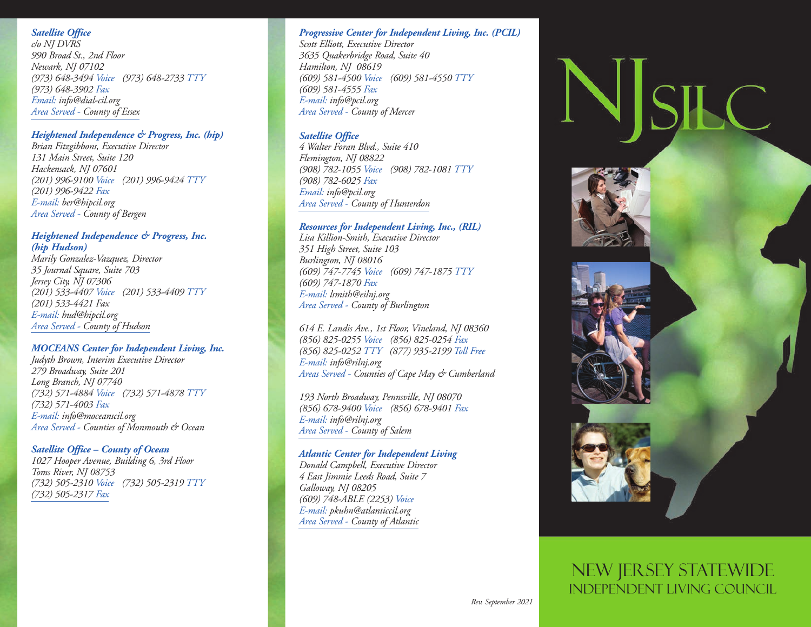# *Satellite Office*

*c/o NJ DVRS 990 Broad St., 2nd Floor Newark, NJ 07102 (973) 648-3494 Voice (973) 648-2733 TTY (973) 648-3902 Fax Email: info@dial-cil.org Area Served - County of Essex* 

### *Heightened Independence & Progress, Inc. (hip)*

*Brian Fitzgibbons, Executive Director 131 Main Street, Suite 120 Hackensack, NJ 07601 (201) 996-9100 Voice (201) 996-9424 TTY (201) 996-9422 Fax E-mail: ber@hipcil.org Area Served - County of Bergen* 

### *Heightened Independence & Progress, Inc. (hip Hudson)*

*Marily Gonzalez-Vazquez, Director 35 Journal Square, Suite 703 Jersey City, NJ 07306 (201) 533-4407 Voice (201) 533-4409 TTY (201) 533-4421 Fax E-mail: hud@hipcil.org Area Served - County of Hudson* 

### *MOCEANS Center for Independent Living, Inc.*

*Judyth Brown, Interim Executive Director 279 Broadway, Suite 201 Long Branch, NJ 07740 (732) 571-4884 Voice (732) 571-4878 TTY (732) 571-4003 Fax E-mail: info@moceanscil.org Area Served - Counties of Monmouth & Ocean* 

### *Satellite Office – County of Ocean*

*1027 Hooper Avenue, Building 6, 3rd Floor Toms River, NJ 08753 (732) 505-2310 Voice (732) 505-2319 TTY (732) 505-2317 Fax* 

### *Progressive Center for Independent Living, Inc. (PCIL)*

*Scott Elliott, Executive Director 3635 Quakerbridge Road, Suite 40 Hamilton, NJ 08619 (609) 581-4500 Voice (609) 581-4550 TTY (609) 581-4555 Fax E-mail: info@pcil.org Area Served - County of Mercer* 

#### *Satellite Office*

*4 Walter Foran Blvd., Suite 410 Flemington, NJ 08822 (908) 782-1055 Voice (908) 782-1081 TTY (908) 782-6025 Fax Email: info@pcil.org Area Served - County of Hunterdon* 

#### *Resources for Independent Living, Inc., (RIL)*

*Lisa Killion-Smith, Executive Director 351 High Street, Suite 103 Burlington, NJ 08016 (609) 747-7745 Voice (609) 747-1875 TTY (609) 747-1870 Fax E-mail: lsmith@eilnj.org Area Served - County of Burlington* 

*614 E. Landis Ave., 1st Floor, Vineland, NJ 08360 (856) 825-0255 Voice (856) 825-0254 Fax (856) 825-0252 TTY (877) 935-2199 Toll Free E-mail: info@rilnj.org Areas Served - Counties of Cape May & Cumberland* 

*193 North Broadway, Pennsville, NJ 08070 (856) 678-9400 Voice (856) 678-9401 Fax E-mail: info@rilnj.org Area Served - County of Salem* 

#### *Atlantic Center for Independent Living*

*Donald Campbell, Executive Director 4 East Jimmie Leeds Road, Suite 7 Galloway, NJ 08205 (609) 748-ABLE (2253) Voice E-mail: pkuhn@atlanticcil.org Area Served - County of Atlantic* 



# NEW JERSEY STATEWIDE INDEPENDENT LIVING COUNCIL